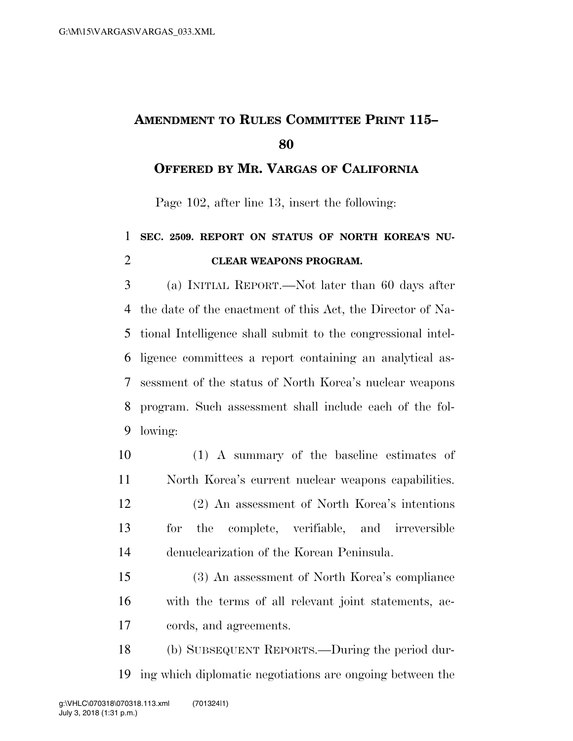## **AMENDMENT TO RULES COMMITTEE PRINT 115–**

**OFFERED BY MR. VARGAS OF CALIFORNIA**

Page 102, after line 13, insert the following:

## **SEC. 2509. REPORT ON STATUS OF NORTH KOREA'S NU-CLEAR WEAPONS PROGRAM.**

 (a) INITIAL REPORT.—Not later than 60 days after the date of the enactment of this Act, the Director of Na- tional Intelligence shall submit to the congressional intel- ligence committees a report containing an analytical as- sessment of the status of North Korea's nuclear weapons program. Such assessment shall include each of the fol-lowing:

- (1) A summary of the baseline estimates of North Korea's current nuclear weapons capabilities. (2) An assessment of North Korea's intentions
- for the complete, verifiable, and irreversible denuclearization of the Korean Peninsula.
- (3) An assessment of North Korea's compliance with the terms of all relevant joint statements, ac-cords, and agreements.
- (b) SUBSEQUENT REPORTS.—During the period dur-ing which diplomatic negotiations are ongoing between the